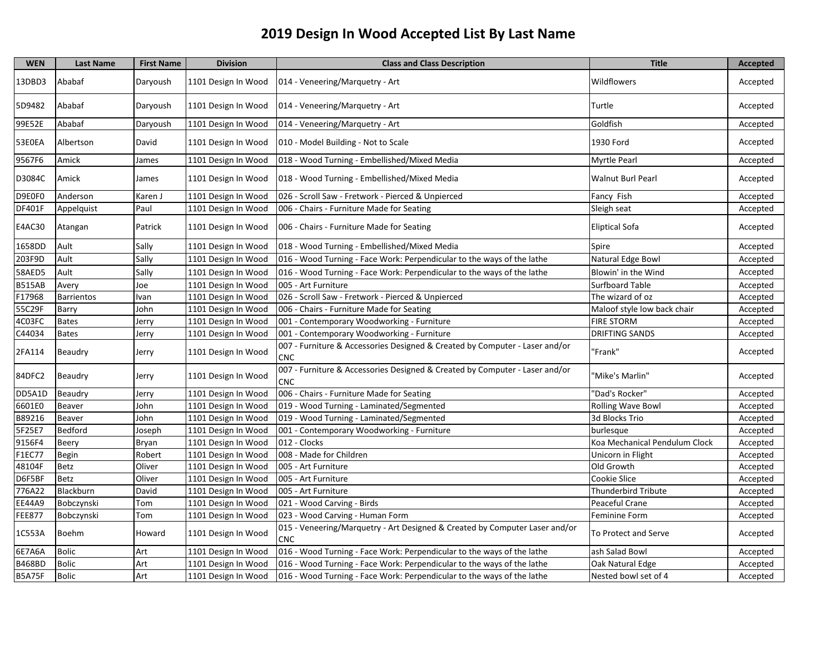| <b>WEN</b>    | <b>Last Name</b>  | <b>First Name</b> | <b>Division</b>     | <b>Class and Class Description</b>                                                        | <b>Title</b>                  | Accepted |
|---------------|-------------------|-------------------|---------------------|-------------------------------------------------------------------------------------------|-------------------------------|----------|
| 13DBD3        | Ababaf            | Daryoush          | 1101 Design In Wood | 014 - Veneering/Marquetry - Art                                                           | Wildflowers                   | Accepted |
| 5D9482        | Ababaf            | Daryoush          | 1101 Design In Wood | 014 - Veneering/Marquetry - Art                                                           | Turtle                        | Accepted |
| 99E52E        | Ababaf            | Daryoush          | 1101 Design In Wood | 014 - Veneering/Marquetry - Art                                                           | Goldfish                      | Accepted |
| 53E0EA        | Albertson         | David             | 1101 Design In Wood | 010 - Model Building - Not to Scale                                                       | 1930 Ford                     | Accepted |
| 9567F6        | Amick             | James             | 1101 Design In Wood | 018 - Wood Turning - Embellished/Mixed Media                                              | <b>Myrtle Pearl</b>           | Accepted |
| D3084C        | Amick             | James             | 1101 Design In Wood | 018 - Wood Turning - Embellished/Mixed Media                                              | <b>Walnut Burl Pearl</b>      | Accepted |
| D9E0F0        | Anderson          | Karen J           | 1101 Design In Wood | 026 - Scroll Saw - Fretwork - Pierced & Unpierced                                         | Fancy Fish                    | Accepted |
| DF401F        | Appelquist        | Paul              | 1101 Design In Wood | 006 - Chairs - Furniture Made for Seating                                                 | Sleigh seat                   | Accepted |
| E4AC30        | Atangan           | Patrick           | 1101 Design In Wood | 006 - Chairs - Furniture Made for Seating                                                 | <b>Eliptical Sofa</b>         | Accepted |
| 1658DD        | Ault              | Sally             | 1101 Design In Wood | 018 - Wood Turning - Embellished/Mixed Media                                              | Spire                         | Accepted |
| 203F9D        | Ault              | Sally             | 1101 Design In Wood | 016 - Wood Turning - Face Work: Perpendicular to the ways of the lathe                    | Natural Edge Bowl             | Accepted |
| 58AED5        | Ault              | Sally             | 1101 Design In Wood | 016 - Wood Turning - Face Work: Perpendicular to the ways of the lathe                    | Blowin' in the Wind           | Accepted |
| <b>B515AB</b> | Avery             | Joe               | 1101 Design In Wood | 005 - Art Furniture                                                                       | <b>Surfboard Table</b>        | Accepted |
| F17968        | <b>Barrientos</b> | Ivan              | 1101 Design In Wood | 026 - Scroll Saw - Fretwork - Pierced & Unpierced                                         | The wizard of oz              | Accepted |
| 55C29F        | Barry             | John              | 1101 Design In Wood | 006 - Chairs - Furniture Made for Seating                                                 | Maloof style low back chair   | Accepted |
| 4C03FC        | <b>Bates</b>      | Jerry             | 1101 Design In Wood | 001 - Contemporary Woodworking - Furniture                                                | <b>FIRE STORM</b>             | Accepted |
| C44034        | <b>Bates</b>      | Jerry             | 1101 Design In Wood | 001 - Contemporary Woodworking - Furniture                                                | <b>DRIFTING SANDS</b>         | Accepted |
| 2FA114        | Beaudry           | Jerry             | 1101 Design In Wood | 007 - Furniture & Accessories Designed & Created by Computer - Laser and/or<br>CNC        | 'Frank"                       | Accepted |
| 84DFC2        | Beaudry           | Jerry             | 1101 Design In Wood | 007 - Furniture & Accessories Designed & Created by Computer - Laser and/or<br><b>CNC</b> | 'Mike's Marlin"               | Accepted |
| DD5A1D        | Beaudry           | Jerry             | 1101 Design In Wood | 006 - Chairs - Furniture Made for Seating                                                 | "Dad's Rocker"                | Accepted |
| 6601E0        | Beaver            | John              | 1101 Design In Wood | 019 - Wood Turning - Laminated/Segmented                                                  | <b>Rolling Wave Bowl</b>      | Accepted |
| B89216        | Beaver            | John              | 1101 Design In Wood | 019 - Wood Turning - Laminated/Segmented                                                  | 3d Blocks Trio                | Accepted |
| 5F25E7        | <b>Bedford</b>    | Joseph            | 1101 Design In Wood | 001 - Contemporary Woodworking - Furniture                                                | burlesque                     | Accepted |
| 9156F4        | Beery             | Bryan             | 1101 Design In Wood | 012 - Clocks                                                                              | Koa Mechanical Pendulum Clock | Accepted |
| F1EC77        | Begin             | Robert            | 1101 Design In Wood | 008 - Made for Children                                                                   | Unicorn in Flight             | Accepted |
| 48104F        | Betz              | Oliver            | 1101 Design In Wood | 005 - Art Furniture                                                                       | Old Growth                    | Accepted |
| D6F5BF        | <b>Betz</b>       | Oliver            | 1101 Design In Wood | 005 - Art Furniture                                                                       | <b>Cookie Slice</b>           | Accepted |
| 776A22        | Blackburn         | David             | 1101 Design In Wood | 005 - Art Furniture                                                                       | <b>Thunderbird Tribute</b>    | Accepted |
| <b>EE44A9</b> | Bobczynski        | Tom               | 1101 Design In Wood | 021 - Wood Carving - Birds                                                                | Peaceful Crane                | Accepted |
| <b>FEE877</b> | Bobczynski        | Tom               | 1101 Design In Wood | 023 - Wood Carving - Human Form                                                           | <b>Feminine Form</b>          | Accepted |
| 1C553A        | Boehm             | Howard            | 1101 Design In Wood | 015 - Veneering/Marquetry - Art Designed & Created by Computer Laser and/or<br><b>CNC</b> | To Protect and Serve          | Accepted |
| 6E7A6A        | Bolic             | Art               | 1101 Design In Wood | 016 - Wood Turning - Face Work: Perpendicular to the ways of the lathe                    | ash Salad Bowl                | Accepted |
| <b>B468BD</b> | <b>Bolic</b>      | Art               | 1101 Design In Wood | 016 - Wood Turning - Face Work: Perpendicular to the ways of the lathe                    | Oak Natural Edge              | Accepted |
| <b>B5A75F</b> | <b>Bolic</b>      | Art               | 1101 Design In Wood | 016 - Wood Turning - Face Work: Perpendicular to the ways of the lathe                    | Nested bowl set of 4          | Accepted |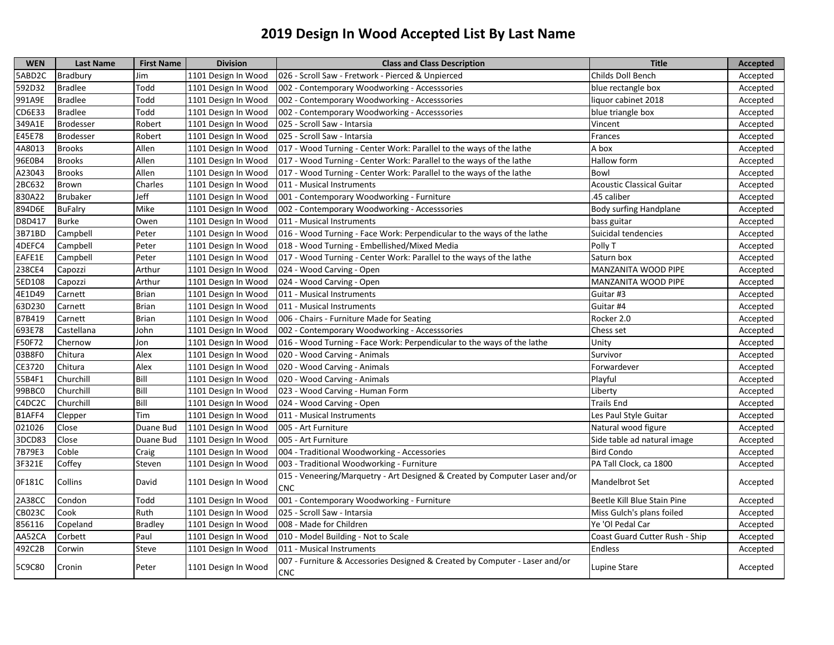| <b>WEN</b>    | Last Name        | <b>First Name</b> | <b>Division</b>     | <b>Class and Class Description</b>                                                        | <b>Title</b>                     | <b>Accepted</b> |
|---------------|------------------|-------------------|---------------------|-------------------------------------------------------------------------------------------|----------------------------------|-----------------|
| 5ABD2C        | Bradbury         | Jim               | 1101 Design In Wood | 026 - Scroll Saw - Fretwork - Pierced & Unpierced                                         | Childs Doll Bench                | Accepted        |
| 592D32        | <b>Bradlee</b>   | Todd              | 1101 Design In Wood | 002 - Contemporary Woodworking - Accesssories                                             | blue rectangle box               | Accepted        |
| 991A9E        | <b>Bradlee</b>   | Todd              | 1101 Design In Wood | 002 - Contemporary Woodworking - Accesssories                                             | liquor cabinet 2018              | Accepted        |
| CD6E33        | <b>Bradlee</b>   | Todd              | 1101 Design In Wood | 002 - Contemporary Woodworking - Accesssories                                             | blue triangle box                | Accepted        |
| 349A1E        | <b>Brodesser</b> | Robert            | 1101 Design In Wood | 025 - Scroll Saw - Intarsia                                                               | Vincent                          | Accepted        |
| E45E78        | <b>Brodesser</b> | Robert            | 1101 Design In Wood | 025 - Scroll Saw - Intarsia                                                               | Frances                          | Accepted        |
| 4A8013        | <b>Brooks</b>    | Allen             | 1101 Design In Wood | 017 - Wood Turning - Center Work: Parallel to the ways of the lathe                       | A box                            | Accepted        |
| 96E0B4        | <b>Brooks</b>    | Allen             | 1101 Design In Wood | 017 - Wood Turning - Center Work: Parallel to the ways of the lathe                       | Hallow form                      | Accepted        |
| A23043        | <b>Brooks</b>    | Allen             | 1101 Design In Wood | 017 - Wood Turning - Center Work: Parallel to the ways of the lathe                       | Bowl                             | Accepted        |
| 2BC632        | Brown            | Charles           | 1101 Design In Wood | 011 - Musical Instruments                                                                 | <b>Acoustic Classical Guitar</b> | Accepted        |
| 830A22        | <b>Brubaker</b>  | Jeff              | 1101 Design In Wood | 001 - Contemporary Woodworking - Furniture                                                | .45 caliber                      | Accepted        |
| 894D6E        | <b>BuFalry</b>   | Mike              | 1101 Design In Wood | 002 - Contemporary Woodworking - Accesssories                                             | <b>Body surfing Handplane</b>    | Accepted        |
| D8D417        | <b>Burke</b>     | Owen              | 1101 Design In Wood | 011 - Musical Instruments                                                                 | bass guitar                      | Accepted        |
| 3B71BD        | Campbell         | Peter             | 1101 Design In Wood | 016 - Wood Turning - Face Work: Perpendicular to the ways of the lathe                    | Suicidal tendencies              | Accepted        |
| 4DEFC4        | Campbell         | Peter             | 1101 Design In Wood | 018 - Wood Turning - Embellished/Mixed Media                                              | Polly T                          | Accepted        |
| EAFE1E        | Campbell         | Peter             | 1101 Design In Wood | 017 - Wood Turning - Center Work: Parallel to the ways of the lathe                       | Saturn box                       | Accepted        |
| 238CE4        | Capozzi          | Arthur            | 1101 Design In Wood | 024 - Wood Carving - Open                                                                 | MANZANITA WOOD PIPE              | Accepted        |
| 5ED108        | Capozzi          | Arthur            | 1101 Design In Wood | 024 - Wood Carving - Open                                                                 | MANZANITA WOOD PIPE              | Accepted        |
| 4E1D49        | Carnett          | <b>Brian</b>      | 1101 Design In Wood | 011 - Musical Instruments                                                                 | Guitar #3                        | Accepted        |
| 63D230        | Carnett          | <b>Brian</b>      | 1101 Design In Wood | 011 - Musical Instruments                                                                 | Guitar #4                        | Accepted        |
| B7B419        | Carnett          | <b>Brian</b>      | 1101 Design In Wood | 006 - Chairs - Furniture Made for Seating                                                 | Rocker 2.0                       | Accepted        |
| 693E78        | Castellana       | John              | 1101 Design In Wood | 002 - Contemporary Woodworking - Accesssories                                             | Chess set                        | Accepted        |
| F50F72        | Chernow          | Jon               | 1101 Design In Wood | 016 - Wood Turning - Face Work: Perpendicular to the ways of the lathe                    | Unity                            | Accepted        |
| 03B8F0        | Chitura          | Alex              | 1101 Design In Wood | 020 - Wood Carving - Animals                                                              | Survivor                         | Accepted        |
| CE3720        | Chitura          | Alex              | 1101 Design In Wood | 020 - Wood Carving - Animals                                                              | Forwardever                      | Accepted        |
| 55B4F1        | Churchill        | Bill              | 1101 Design In Wood | 020 - Wood Carving - Animals                                                              | Playful                          | Accepted        |
| 99BBC0        | Churchill        | Bill              | 1101 Design In Wood | 023 - Wood Carving - Human Form                                                           | Liberty                          | Accepted        |
| C4DC2C        | Churchill        | Bill              | 1101 Design In Wood | 024 - Wood Carving - Open                                                                 | <b>Trails End</b>                | Accepted        |
| B1AFF4        | Clepper          | Tim               | 1101 Design In Wood | 011 - Musical Instruments                                                                 | Les Paul Style Guitar            | Accepted        |
| 021026        | Close            | Duane Bud         | 1101 Design In Wood | 005 - Art Furniture                                                                       | Natural wood figure              | Accepted        |
| 3DCD83        | Close            | Duane Bud         | 1101 Design In Wood | 005 - Art Furniture                                                                       | Side table ad natural image      | Accepted        |
| 7B79E3        | Coble            | Craig             | 1101 Design In Wood | 004 - Traditional Woodworking - Accessories                                               | <b>Bird Condo</b>                | Accepted        |
| 3F321E        | Coffey           | Steven            | 1101 Design In Wood | 003 - Traditional Woodworking - Furniture                                                 | PA Tall Clock, ca 1800           | Accepted        |
| 0F181C        | Collins          | David             | 1101 Design In Wood | 015 - Veneering/Marquetry - Art Designed & Created by Computer Laser and/or<br>CNC        | Mandelbrot Set                   | Accepted        |
| <b>2A38CC</b> | Condon           | Todd              | 1101 Design In Wood | 001 - Contemporary Woodworking - Furniture                                                | Beetle Kill Blue Stain Pine      | Accepted        |
| <b>CB023C</b> | Cook             | Ruth              | 1101 Design In Wood | 025 - Scroll Saw - Intarsia                                                               | Miss Gulch's plans foiled        | Accepted        |
| 856116        | Copeland         | <b>Bradley</b>    | 1101 Design In Wood | 008 - Made for Children                                                                   | Ye 'Ol Pedal Car                 | Accepted        |
| AA52CA        | Corbett          | Paul              | 1101 Design In Wood | 010 - Model Building - Not to Scale                                                       | Coast Guard Cutter Rush - Ship   | Accepted        |
| 492C2B        | Corwin           | <b>Steve</b>      | 1101 Design In Wood | 011 - Musical Instruments                                                                 | <b>Endless</b>                   | Accepted        |
| 5C9C80        | Cronin           | Peter             | 1101 Design In Wood | 007 - Furniture & Accessories Designed & Created by Computer - Laser and/or<br><b>CNC</b> | Lupine Stare                     | Accepted        |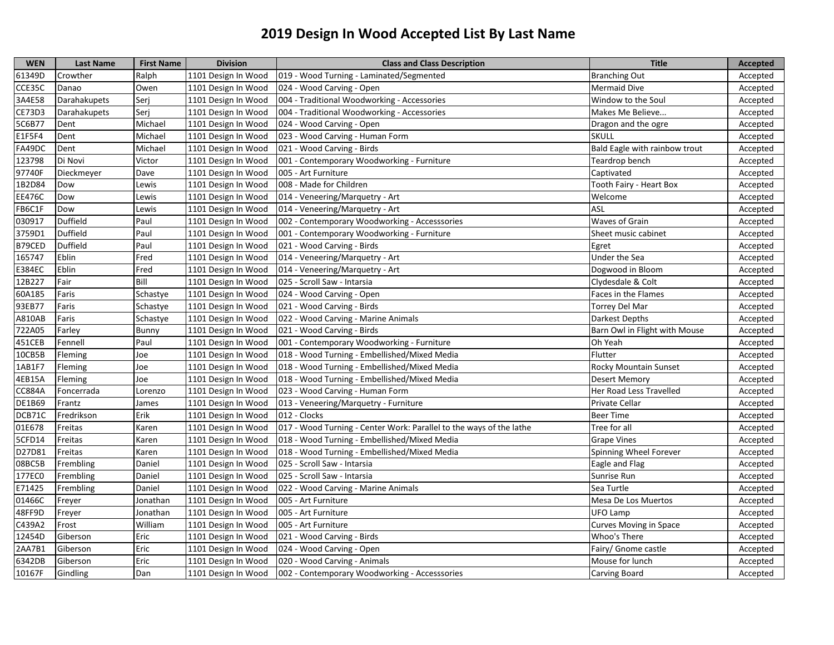| <b>WEN</b>    | <b>Last Name</b> | <b>First Name</b> | <b>Division</b>     | <b>Class and Class Description</b>                                  | <b>Title</b>                  | Accepted |
|---------------|------------------|-------------------|---------------------|---------------------------------------------------------------------|-------------------------------|----------|
| 61349D        | Crowther         | Ralph             | 1101 Design In Wood | 019 - Wood Turning - Laminated/Segmented                            | <b>Branching Out</b>          | Accepted |
| CCE35C        | Danao            | Owen              | 1101 Design In Wood | 024 - Wood Carving - Open                                           | <b>Mermaid Dive</b>           | Accepted |
| 3A4E58        | Darahakupets     | Seri              | 1101 Design In Wood | 004 - Traditional Woodworking - Accessories                         | Window to the Soul            | Accepted |
| CE73D3        | Darahakupets     | Serj              | 1101 Design In Wood | 004 - Traditional Woodworking - Accessories                         | Makes Me Believe              | Accepted |
| 5C6B77        | Dent             | Michael           | 1101 Design In Wood | 024 - Wood Carving - Open                                           | Dragon and the ogre           | Accepted |
| E1F5F4        | Dent             | Michael           | 1101 Design In Wood | 023 - Wood Carving - Human Form                                     | <b>SKULL</b>                  | Accepted |
| FA49DC        | Dent             | Michael           | 1101 Design In Wood | 021 - Wood Carving - Birds                                          | Bald Eagle with rainbow trout | Accepted |
| 123798        | Di Novi          | Victor            | 1101 Design In Wood | 001 - Contemporary Woodworking - Furniture                          | Teardrop bench                | Accepted |
| 97740F        | Dieckmeyer       | Dave              | 1101 Design In Wood | 005 - Art Furniture                                                 | Captivated                    | Accepted |
| 1B2D84        | Dow              | Lewis             | 1101 Design In Wood | 008 - Made for Children                                             | Tooth Fairy - Heart Box       | Accepted |
| <b>EE476C</b> | Dow              | Lewis             | 1101 Design In Wood | 014 - Veneering/Marquetry - Art                                     | Welcome                       | Accepted |
| FB6C1F        | Dow              | Lewis             | 1101 Design In Wood | 014 - Veneering/Marquetry - Art                                     | ASL                           | Accepted |
| 030917        | Duffield         | Paul              | 1101 Design In Wood | 002 - Contemporary Woodworking - Accesssories                       | Waves of Grain                | Accepted |
| 3759D1        | Duffield         | Paul              | 1101 Design In Wood | 001 - Contemporary Woodworking - Furniture                          | Sheet music cabinet           | Accepted |
| B79CED        | Duffield         | Paul              | 1101 Design In Wood | 021 - Wood Carving - Birds                                          | Egret                         | Accepted |
| 165747        | Eblin            | Fred              | 1101 Design In Wood | 014 - Veneering/Marquetry - Art                                     | Under the Sea                 | Accepted |
| E384EC        | Eblin            | Fred              | 1101 Design In Wood | 014 - Veneering/Marquetry - Art                                     | Dogwood in Bloom              | Accepted |
| 12B227        | Fair             | Bill              | 1101 Design In Wood | 025 - Scroll Saw - Intarsia                                         | Clydesdale & Colt             | Accepted |
| 60A185        | Faris            | Schastye          | 1101 Design In Wood | 024 - Wood Carving - Open                                           | Faces in the Flames           | Accepted |
| 93EB77        | Faris            | Schastye          | 1101 Design In Wood | 021 - Wood Carving - Birds                                          | Torrey Del Mar                | Accepted |
| A810AB        | Faris            | Schastye          | 1101 Design In Wood | 022 - Wood Carving - Marine Animals                                 | Darkest Depths                | Accepted |
| 722A05        | Farley           | Bunny             | 1101 Design In Wood | 021 - Wood Carving - Birds                                          | Barn Owl in Flight with Mouse | Accepted |
| 451CEB        | Fennell          | Paul              | 1101 Design In Wood | 001 - Contemporary Woodworking - Furniture                          | Oh Yeah                       | Accepted |
| 10CB5B        | Fleming          | Joe               | 1101 Design In Wood | 018 - Wood Turning - Embellished/Mixed Media                        | Flutter                       | Accepted |
| 1AB1F7        | Fleming          | Joe               | 1101 Design In Wood | 018 - Wood Turning - Embellished/Mixed Media                        | Rocky Mountain Sunset         | Accepted |
| 4EB15A        | Fleming          | Joe               | 1101 Design In Wood | 018 - Wood Turning - Embellished/Mixed Media                        | <b>Desert Memory</b>          | Accepted |
| <b>CC884A</b> | Foncerrada       | Lorenzo           | 1101 Design In Wood | 023 - Wood Carving - Human Form                                     | Her Road Less Travelled       | Accepted |
| <b>DE1B69</b> | Frantz           | James             | 1101 Design In Wood | 013 - Veneering/Marquetry - Furniture                               | Private Cellar                | Accepted |
| DCB71C        | Fredrikson       | Erik              | 1101 Design In Wood | 012 - Clocks                                                        | Beer Time                     | Accepted |
| 01E678        | Freitas          | Karen             | 1101 Design In Wood | 017 - Wood Turning - Center Work: Parallel to the ways of the lathe | Tree for all                  | Accepted |
| 5CFD14        | Freitas          | Karen             | 1101 Design In Wood | 018 - Wood Turning - Embellished/Mixed Media                        | <b>Grape Vines</b>            | Accepted |
| D27D81        | Freitas          | Karen             | 1101 Design In Wood | 018 - Wood Turning - Embellished/Mixed Media                        | Spinning Wheel Forever        | Accepted |
| 08BC5B        | Frembling        | Daniel            | 1101 Design In Wood | 025 - Scroll Saw - Intarsia                                         | Eagle and Flag                | Accepted |
| 177EC0        | Frembling        | Daniel            | 1101 Design In Wood | 025 - Scroll Saw - Intarsia                                         | Sunrise Run                   | Accepted |
| E71425        | Frembling        | Daniel            | 1101 Design In Wood | 022 - Wood Carving - Marine Animals                                 | Sea Turtle                    | Accepted |
| 01466C        | Freyer           | Jonathan          | 1101 Design In Wood | 005 - Art Furniture                                                 | Mesa De Los Muertos           | Accepted |
| 48FF9D        | Freyer           | Jonathan          | 1101 Design In Wood | 005 - Art Furniture                                                 | UFO Lamp                      | Accepted |
| C439A2        | Frost            | William           | 1101 Design In Wood | 005 - Art Furniture                                                 | <b>Curves Moving in Space</b> | Accepted |
| 12454D        | Giberson         | Eric              | 1101 Design In Wood | 021 - Wood Carving - Birds                                          | Whoo's There                  | Accepted |
| 2AA7B1        | Giberson         | Eric              | 1101 Design In Wood | 024 - Wood Carving - Open                                           | Fairy/ Gnome castle           | Accepted |
| 6342DB        | Giberson         | Eric              | 1101 Design In Wood | 020 - Wood Carving - Animals                                        | Mouse for lunch               | Accepted |
| 10167F        | Gindling         | Dan               | 1101 Design In Wood | 002 - Contemporary Woodworking - Accesssories                       | Carving Board                 | Accepted |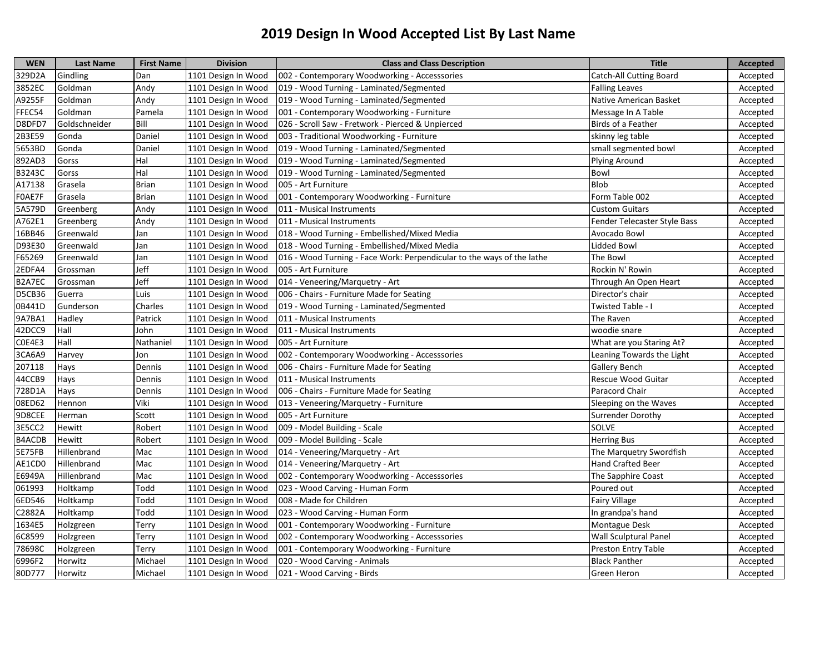| <b>WEN</b> | <b>Last Name</b> | <b>First Name</b> | <b>Division</b>     | <b>Class and Class Description</b>                                     | <b>Title</b>                 | <b>Accepted</b> |
|------------|------------------|-------------------|---------------------|------------------------------------------------------------------------|------------------------------|-----------------|
| 329D2A     | Gindling         | Dan               | 1101 Design In Wood | 002 - Contemporary Woodworking - Accesssories                          | Catch-All Cutting Board      | Accepted        |
| 3852EC     | Goldman          | Andy              | 1101 Design In Wood | 019 - Wood Turning - Laminated/Segmented                               | <b>Falling Leaves</b>        | Accepted        |
| A9255F     | Goldman          | Andy              | 1101 Design In Wood | 019 - Wood Turning - Laminated/Segmented                               | Native American Basket       | Accepted        |
| FFEC54     | Goldman          | Pamela            | 1101 Design In Wood | 001 - Contemporary Woodworking - Furniture                             | Message In A Table           | Accepted        |
| D8DFD7     | Goldschneider    | Bill              | 1101 Design In Wood | 026 - Scroll Saw - Fretwork - Pierced & Unpierced                      | Birds of a Feather           | Accepted        |
| 2B3E59     | Gonda            | Daniel            | 1101 Design In Wood | 003 - Traditional Woodworking - Furniture                              | skinny leg table             | Accepted        |
| 5653BD     | Gonda            | Daniel            | 1101 Design In Wood | 019 - Wood Turning - Laminated/Segmented                               | small segmented bowl         | Accepted        |
| 892AD3     | Gorss            | Hal               | 1101 Design In Wood | 019 - Wood Turning - Laminated/Segmented                               | Plying Around                | Accepted        |
| B3243C     | Gorss            | Hal               | 1101 Design In Wood | 019 - Wood Turning - Laminated/Segmented                               | Bowl                         | Accepted        |
| A17138     | Grasela          | <b>Brian</b>      | 1101 Design In Wood | 005 - Art Furniture                                                    | Blob                         | Accepted        |
| F0AE7F     | Grasela          | <b>Brian</b>      | 1101 Design In Wood | 001 - Contemporary Woodworking - Furniture                             | Form Table 002               | Accepted        |
| 5A579D     | Greenberg        | Andy              | 1101 Design In Wood | 011 - Musical Instruments                                              | <b>Custom Guitars</b>        | Accepted        |
| A762E1     | Greenberg        | Andy              | 1101 Design In Wood | 011 - Musical Instruments                                              | Fender Telecaster Style Bass | Accepted        |
| 16BB46     | Greenwald        | Jan               | 1101 Design In Wood | 018 - Wood Turning - Embellished/Mixed Media                           | Avocado Bowl                 | Accepted        |
| D93E30     | Greenwald        | Jan               | 1101 Design In Wood | 018 - Wood Turning - Embellished/Mixed Media                           | Lidded Bowl                  | Accepted        |
| F65269     | Greenwald        | Jan               | 1101 Design In Wood | 016 - Wood Turning - Face Work: Perpendicular to the ways of the lathe | The Bowl                     | Accepted        |
| 2EDFA4     | Grossman         | Jeff              | 1101 Design In Wood | 005 - Art Furniture                                                    | Rockin N' Rowin              | Accepted        |
| B2A7EC     | Grossman         | Jeff              | 1101 Design In Wood | 014 - Veneering/Marquetry - Art                                        | Through An Open Heart        | Accepted        |
| D5CB36     | Guerra           | Luis              | 1101 Design In Wood | 006 - Chairs - Furniture Made for Seating                              | Director's chair             | Accepted        |
| 0B441D     | Gunderson        | Charles           | 1101 Design In Wood | 019 - Wood Turning - Laminated/Segmented                               | Twisted Table - I            | Accepted        |
| 9A7BA1     | Hadley           | Patrick           | 1101 Design In Wood | 011 - Musical Instruments                                              | The Raven                    | Accepted        |
| 42DCC9     | Hall             | John              | 1101 Design In Wood | 011 - Musical Instruments                                              | woodie snare                 | Accepted        |
| COE4E3     | Hall             | Nathaniel         | 1101 Design In Wood | 005 - Art Furniture                                                    | What are you Staring At?     | Accepted        |
| 3CA6A9     | Harvey           | Jon               | 1101 Design In Wood | 002 - Contemporary Woodworking - Accesssories                          | Leaning Towards the Light    | Accepted        |
| 207118     | Hays             | Dennis            | 1101 Design In Wood | 006 - Chairs - Furniture Made for Seating                              | <b>Gallery Bench</b>         | Accepted        |
| 44CCB9     | Hays             | Dennis            | 1101 Design In Wood | 011 - Musical Instruments                                              | Rescue Wood Guitar           | Accepted        |
| 728D1A     | Hays             | Dennis            | 1101 Design In Wood | 006 - Chairs - Furniture Made for Seating                              | Paracord Chair               | Accepted        |
| 08ED62     | Hennon           | Viki              | 1101 Design In Wood | 013 - Veneering/Marquetry - Furniture                                  | Sleeping on the Waves        | Accepted        |
| 9D8CEE     | Herman           | Scott             | 1101 Design In Wood | 005 - Art Furniture                                                    | <b>Surrender Dorothy</b>     | Accepted        |
| 3E5CC2     | Hewitt           | Robert            | 1101 Design In Wood | 009 - Model Building - Scale                                           | SOLVE                        | Accepted        |
| B4ACDB     | Hewitt           | Robert            | 1101 Design In Wood | 009 - Model Building - Scale                                           | <b>Herring Bus</b>           | Accepted        |
| 5E75FB     | Hillenbrand      | Mac               | 1101 Design In Wood | 014 - Veneering/Marquetry - Art                                        | The Marquetry Swordfish      | Accepted        |
| AE1CD0     | Hillenbrand      | Mac               | 1101 Design In Wood | 014 - Veneering/Marquetry - Art                                        | Hand Crafted Beer            | Accepted        |
| E6949A     | Hillenbrand      | Mac               | 1101 Design In Wood | 002 - Contemporary Woodworking - Accesssories                          | The Sapphire Coast           | Accepted        |
| 061993     | Holtkamp         | Todd              | 1101 Design In Wood | 023 - Wood Carving - Human Form                                        | Poured out                   | Accepted        |
| 6ED546     | Holtkamp         | Todd              | 1101 Design In Wood | 008 - Made for Children                                                | <b>Fairy Village</b>         | Accepted        |
| C2882A     | Holtkamp         | Todd              | 1101 Design In Wood | 023 - Wood Carving - Human Form                                        | In grandpa's hand            | Accepted        |
| 1634E5     | Holzgreen        | Terry             | 1101 Design In Wood | 001 - Contemporary Woodworking - Furniture                             | Montague Desk                | Accepted        |
| 6C8599     | Holzgreen        | Terry             | 1101 Design In Wood | 002 - Contemporary Woodworking - Accesssories                          | <b>Wall Sculptural Panel</b> | Accepted        |
| 78698C     | Holzgreen        | Terry             | 1101 Design In Wood | 001 - Contemporary Woodworking - Furniture                             | Preston Entry Table          | Accepted        |
| 6996F2     | Horwitz          | Michael           | 1101 Design In Wood | 020 - Wood Carving - Animals                                           | <b>Black Panther</b>         | Accepted        |
| 80D777     | Horwitz          | Michael           | 1101 Design In Wood | 021 - Wood Carving - Birds                                             | Green Heron                  | Accepted        |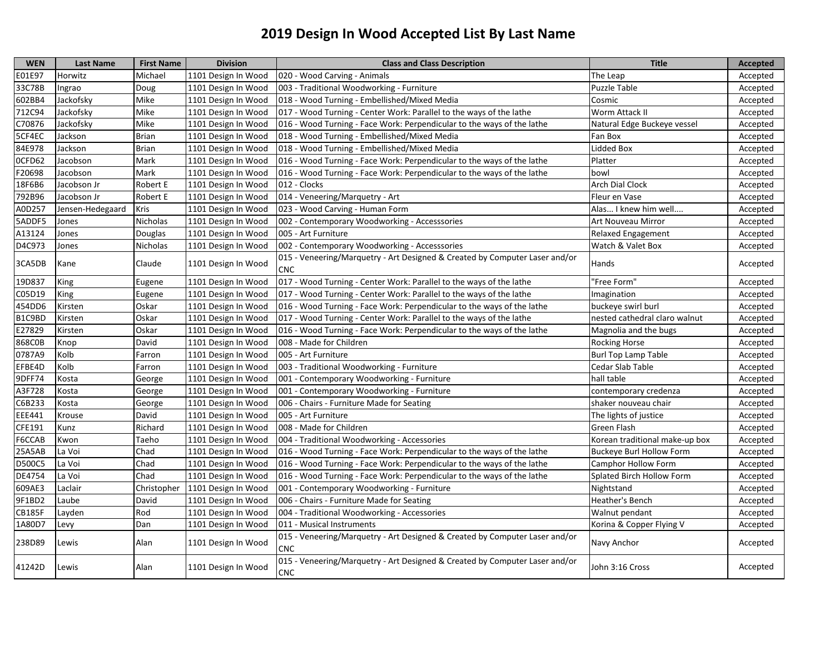| <b>WEN</b>    | <b>Last Name</b> | <b>First Name</b> | <b>Division</b>     | <b>Class and Class Description</b>                                                        | <b>Title</b>                    | <b>Accepted</b> |
|---------------|------------------|-------------------|---------------------|-------------------------------------------------------------------------------------------|---------------------------------|-----------------|
| E01E97        | Horwitz          | Michael           | 1101 Design In Wood | 020 - Wood Carving - Animals                                                              | The Leap                        | Accepted        |
| 33C78B        | Ingrao           | Doug              | 1101 Design In Wood | 003 - Traditional Woodworking - Furniture                                                 | <b>Puzzle Table</b>             | Accepted        |
| 602BB4        | Jackofsky        | Mike              | 1101 Design In Wood | 018 - Wood Turning - Embellished/Mixed Media                                              | Cosmic                          | Accepted        |
| 712C94        | Jackofsky        | Mike              | 1101 Design In Wood | 017 - Wood Turning - Center Work: Parallel to the ways of the lathe                       | Worm Attack II                  | Accepted        |
| C70876        | Jackofsky        | Mike              | 1101 Design In Wood | 016 - Wood Turning - Face Work: Perpendicular to the ways of the lathe                    | Natural Edge Buckeye vessel     | Accepted        |
| 5CF4EC        | Jackson          | <b>Brian</b>      | 1101 Design In Wood | 018 - Wood Turning - Embellished/Mixed Media                                              | Fan Box                         | Accepted        |
| 84E978        | Jackson          | <b>Brian</b>      | 1101 Design In Wood | 018 - Wood Turning - Embellished/Mixed Media                                              | Lidded Box                      | Accepted        |
| OCFD62        | Jacobson         | Mark              | 1101 Design In Wood | 016 - Wood Turning - Face Work: Perpendicular to the ways of the lathe                    | Platter                         | Accepted        |
| F20698        | Jacobson         | Mark              | 1101 Design In Wood | 016 - Wood Turning - Face Work: Perpendicular to the ways of the lathe                    | bowl                            | Accepted        |
| 18F6B6        | Jacobson Jr      | Robert E          | 1101 Design In Wood | 012 - Clocks                                                                              | <b>Arch Dial Clock</b>          | Accepted        |
| 792B96        | Jacobson Jr      | Robert E          | 1101 Design In Wood | 014 - Veneering/Marquetry - Art                                                           | Fleur en Vase                   | Accepted        |
| A0D257        | Jensen-Hedegaard | <b>Kris</b>       | 1101 Design In Wood | 023 - Wood Carving - Human Form                                                           | Alas I knew him well            | Accepted        |
| 5ADDF5        | Jones            | <b>Nicholas</b>   | 1101 Design In Wood | 002 - Contemporary Woodworking - Accesssories                                             | Art Nouveau Mirror              | Accepted        |
| A13124        | Jones            | Douglas           | 1101 Design In Wood | 005 - Art Furniture                                                                       | Relaxed Engagement              | Accepted        |
| D4C973        | Jones            | Nicholas          | 1101 Design In Wood | 002 - Contemporary Woodworking - Accesssories                                             | Watch & Valet Box               | Accepted        |
| 3CA5DB        | Kane             | Claude            | 1101 Design In Wood | 015 - Veneering/Marquetry - Art Designed & Created by Computer Laser and/or<br><b>CNC</b> | Hands                           | Accepted        |
| 19D837        | King             | Eugene            | 1101 Design In Wood | 017 - Wood Turning - Center Work: Parallel to the ways of the lathe                       | 'Free Form"                     | Accepted        |
| C05D19        | King             | Eugene            | 1101 Design In Wood | 017 - Wood Turning - Center Work: Parallel to the ways of the lathe                       | Imagination                     | Accepted        |
| 454DD6        | Kirsten          | Oskar             | 1101 Design In Wood | 016 - Wood Turning - Face Work: Perpendicular to the ways of the lathe                    | buckeye swirl burl              | Accepted        |
| B1C9BD        | Kirsten          | Oskar             | 1101 Design In Wood | 017 - Wood Turning - Center Work: Parallel to the ways of the lathe                       | nested cathedral claro walnut   | Accepted        |
| E27829        | Kirsten          | Oskar             | 1101 Design In Wood | 016 - Wood Turning - Face Work: Perpendicular to the ways of the lathe                    | Magnolia and the bugs           | Accepted        |
| 868C0B        | Knop             | David             | 1101 Design In Wood | 008 - Made for Children                                                                   | <b>Rocking Horse</b>            | Accepted        |
| 0787A9        | Kolb             | Farron            | 1101 Design In Wood | 005 - Art Furniture                                                                       | <b>Burl Top Lamp Table</b>      | Accepted        |
| EFBE4D        | Kolb             | Farron            | 1101 Design In Wood | 003 - Traditional Woodworking - Furniture                                                 | Cedar Slab Table                | Accepted        |
| 9DFF74        | Kosta            | George            | 1101 Design In Wood | 001 - Contemporary Woodworking - Furniture                                                | hall table                      | Accepted        |
| A3F728        | Kosta            | George            | 1101 Design In Wood | 001 - Contemporary Woodworking - Furniture                                                | contemporary credenza           | Accepted        |
| C6B233        | Kosta            | George            | 1101 Design In Wood | 006 - Chairs - Furniture Made for Seating                                                 | shaker nouveau chair            | Accepted        |
| <b>EEE441</b> | Krouse           | David             | 1101 Design In Wood | 005 - Art Furniture                                                                       | The lights of justice           | Accepted        |
| CFE191        | Kunz             | Richard           | 1101 Design In Wood | 008 - Made for Children                                                                   | Green Flash                     | Accepted        |
| F6CCAB        | Kwon             | Taeho             | 1101 Design In Wood | 004 - Traditional Woodworking - Accessories                                               | Korean traditional make-up box  | Accepted        |
| 25A5AB        | La Voi           | Chad              | 1101 Design In Wood | 016 - Wood Turning - Face Work: Perpendicular to the ways of the lathe                    | <b>Buckeye Burl Hollow Form</b> | Accepted        |
| D500C5        | La Voi           | Chad              | 1101 Design In Wood | 016 - Wood Turning - Face Work: Perpendicular to the ways of the lathe                    | <b>Camphor Hollow Form</b>      | Accepted        |
| DE4754        | La Voi           | Chad              | 1101 Design In Wood | 016 - Wood Turning - Face Work: Perpendicular to the ways of the lathe                    | Splated Birch Hollow Form       | Accepted        |
| 609AE3        | Laclair          | Christopher       | 1101 Design In Wood | 001 - Contemporary Woodworking - Furniture                                                | Nightstand                      | Accepted        |
| 9F1BD2        | Laube            | David             | 1101 Design In Wood | 006 - Chairs - Furniture Made for Seating                                                 | Heather's Bench                 | Accepted        |
| <b>CB185F</b> | Layden           | Rod               | 1101 Design In Wood | 004 - Traditional Woodworking - Accessories                                               | Walnut pendant                  | Accepted        |
| 1A80D7        | Levy             | Dan               | 1101 Design In Wood | 011 - Musical Instruments                                                                 | Korina & Copper Flying V        | Accepted        |
| 238D89        | Lewis            | Alan              | 1101 Design In Wood | 015 - Veneering/Marquetry - Art Designed & Created by Computer Laser and/or<br><b>CNC</b> | Navy Anchor                     | Accepted        |
| 41242D        | Lewis            | Alan              | 1101 Design In Wood | 015 - Veneering/Marquetry - Art Designed & Created by Computer Laser and/or<br><b>CNC</b> | John 3:16 Cross                 | Accepted        |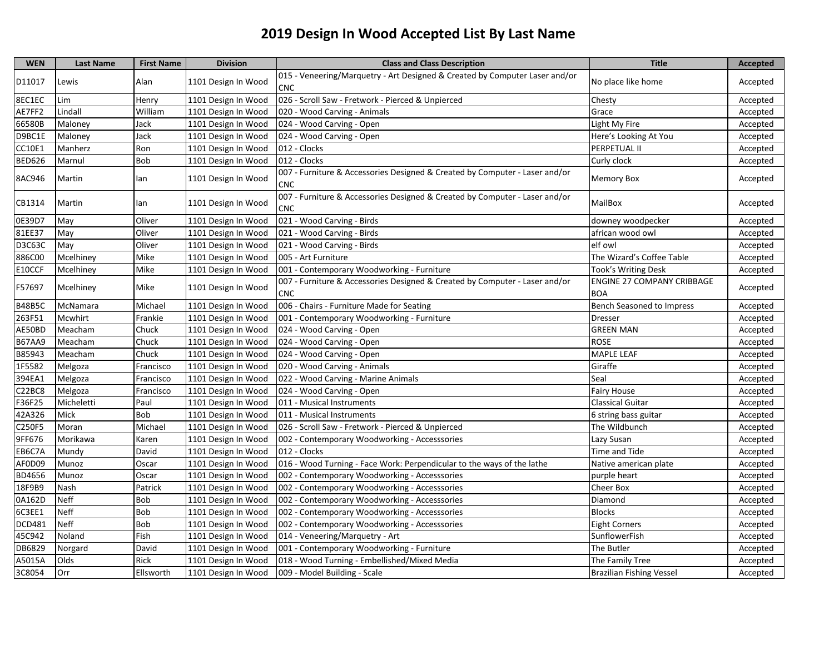| <b>WEN</b>    | <b>Last Name</b> | <b>First Name</b> | <b>Division</b>     | <b>Class and Class Description</b>                                                        | <b>Title</b>                             | <b>Accepted</b> |
|---------------|------------------|-------------------|---------------------|-------------------------------------------------------------------------------------------|------------------------------------------|-----------------|
| D11017        | Lewis            | Alan              | 1101 Design In Wood | 015 - Veneering/Marquetry - Art Designed & Created by Computer Laser and/or               | No place like home                       | Accepted        |
|               |                  |                   |                     | <b>CNC</b>                                                                                |                                          |                 |
| 8EC1EC        | Lim              | Henry             | 1101 Design In Wood | 026 - Scroll Saw - Fretwork - Pierced & Unpierced                                         | Chesty                                   | Accepted        |
| AE7FF2        | Lindall          | William           | 1101 Design In Wood | 020 - Wood Carving - Animals                                                              | Grace                                    | Accepted        |
| 66580B        | Maloney          | Jack              | 1101 Design In Wood | 024 - Wood Carving - Open                                                                 | Light My Fire                            | Accepted        |
| D9BC1E        | Maloney          | Jack              | 1101 Design In Wood | 024 - Wood Carving - Open                                                                 | Here's Looking At You                    | Accepted        |
| CC10E1        | Manherz          | Ron               | 1101 Design In Wood | 012 - Clocks                                                                              | PERPETUAL II                             | Accepted        |
| <b>BED626</b> | Marnul           | <b>Bob</b>        | 1101 Design In Wood | 012 - Clocks                                                                              | Curly clock                              | Accepted        |
| 8AC946        | Martin           | lan               | 1101 Design In Wood | 007 - Furniture & Accessories Designed & Created by Computer - Laser and/or<br><b>CNC</b> | Memory Box                               | Accepted        |
| CB1314        | Martin           | lan               | 1101 Design In Wood | 007 - Furniture & Accessories Designed & Created by Computer - Laser and/or<br><b>CNC</b> | MailBox                                  | Accepted        |
| 0E39D7        | May              | Oliver            | 1101 Design In Wood | 021 - Wood Carving - Birds                                                                | downey woodpecker                        | Accepted        |
| 81EE37        | May              | Oliver            | 1101 Design In Wood | 021 - Wood Carving - Birds                                                                | african wood owl                         | Accepted        |
| D3C63C        | May              | Oliver            | 1101 Design In Wood | 021 - Wood Carving - Birds                                                                | elf owl                                  | Accepted        |
| 886C00        | Mcelhiney        | Mike              | 1101 Design In Wood | 005 - Art Furniture                                                                       | The Wizard's Coffee Table                | Accepted        |
| E10CCF        | Mcelhiney        | Mike              | 1101 Design In Wood | 001 - Contemporary Woodworking - Furniture                                                | Took's Writing Desk                      | Accepted        |
| F57697        | Mcelhiney        | Mike              | 1101 Design In Wood | 007 - Furniture & Accessories Designed & Created by Computer - Laser and/or<br><b>CNC</b> | ENGINE 27 COMPANY CRIBBAGE<br><b>BOA</b> | Accepted        |
| <b>B48B5C</b> | McNamara         | Michael           | 1101 Design In Wood | 006 - Chairs - Furniture Made for Seating                                                 | <b>Bench Seasoned to Impress</b>         | Accepted        |
| 263F51        | Mcwhirt          | Frankie           | 1101 Design In Wood | 001 - Contemporary Woodworking - Furniture                                                | Dresser                                  | Accepted        |
| AE50BD        | Meacham          | Chuck             | 1101 Design In Wood | 024 - Wood Carving - Open                                                                 | <b>GREEN MAN</b>                         | Accepted        |
| <b>B67AA9</b> | Meacham          | Chuck             | 1101 Design In Wood | 024 - Wood Carving - Open                                                                 | <b>ROSE</b>                              | Accepted        |
| B85943        | Meacham          | Chuck             | 1101 Design In Wood | 024 - Wood Carving - Open                                                                 | MAPLE LEAF                               | Accepted        |
| 1F5582        | Melgoza          | Francisco         | 1101 Design In Wood | 020 - Wood Carving - Animals                                                              | Giraffe                                  | Accepted        |
| 394EA1        | Melgoza          | Francisco         | 1101 Design In Wood | 022 - Wood Carving - Marine Animals                                                       | Seal                                     | Accepted        |
| C22BC8        | Melgoza          | Francisco         | 1101 Design In Wood | 024 - Wood Carving - Open                                                                 | Fairy House                              | Accepted        |
| F36F25        | Micheletti       | Paul              | 1101 Design In Wood | 011 - Musical Instruments                                                                 | Classical Guitar                         | Accepted        |
| 42A326        | Mick             | <b>Bob</b>        | 1101 Design In Wood | 011 - Musical Instruments                                                                 | 6 string bass guitar                     | Accepted        |
| C250F5        | Moran            | Michael           | 1101 Design In Wood | 026 - Scroll Saw - Fretwork - Pierced & Unpierced                                         | The Wildbunch                            | Accepted        |
| 9FF676        | Morikawa         | Karen             | 1101 Design In Wood | 002 - Contemporary Woodworking - Accesssories                                             | Lazy Susan                               | Accepted        |
| EB6C7A        | Mundy            | David             | 1101 Design In Wood | 012 - Clocks                                                                              | Time and Tide                            | Accepted        |
| AF0D09        | Munoz            | Oscar             | 1101 Design In Wood | 016 - Wood Turning - Face Work: Perpendicular to the ways of the lathe                    | Native american plate                    | Accepted        |
| BD4656        | Munoz            | Oscar             | 1101 Design In Wood | 002 - Contemporary Woodworking - Accesssories                                             | purple heart                             | Accepted        |
| 18F9B9        | Nash             | Patrick           | 1101 Design In Wood | 002 - Contemporary Woodworking - Accesssories                                             | Cheer Box                                | Accepted        |
| 0A162D        | Neff             | <b>Bob</b>        | 1101 Design In Wood | 002 - Contemporary Woodworking - Accesssories                                             | Diamond                                  | Accepted        |
| 6C3EE1        | Neff             | Bob               | 1101 Design In Wood | 002 - Contemporary Woodworking - Accesssories                                             | <b>Blocks</b>                            | Accepted        |
| DCD481        | <b>Neff</b>      | Bob               | 1101 Design In Wood | 002 - Contemporary Woodworking - Accesssories                                             | <b>Eight Corners</b>                     | Accepted        |
| 45C942        | Noland           | Fish              | 1101 Design In Wood | 014 - Veneering/Marquetry - Art                                                           | SunflowerFish                            | Accepted        |
| DB6829        | Norgard          | David             | 1101 Design In Wood | 001 - Contemporary Woodworking - Furniture                                                | The Butler                               | Accepted        |
| A5015A        | Olds             | Rick              | 1101 Design In Wood | 018 - Wood Turning - Embellished/Mixed Media                                              | The Family Tree                          | Accepted        |
| 3C8054        | Orr              | Ellsworth         | 1101 Design In Wood | 009 - Model Building - Scale                                                              | <b>Brazilian Fishing Vessel</b>          | Accepted        |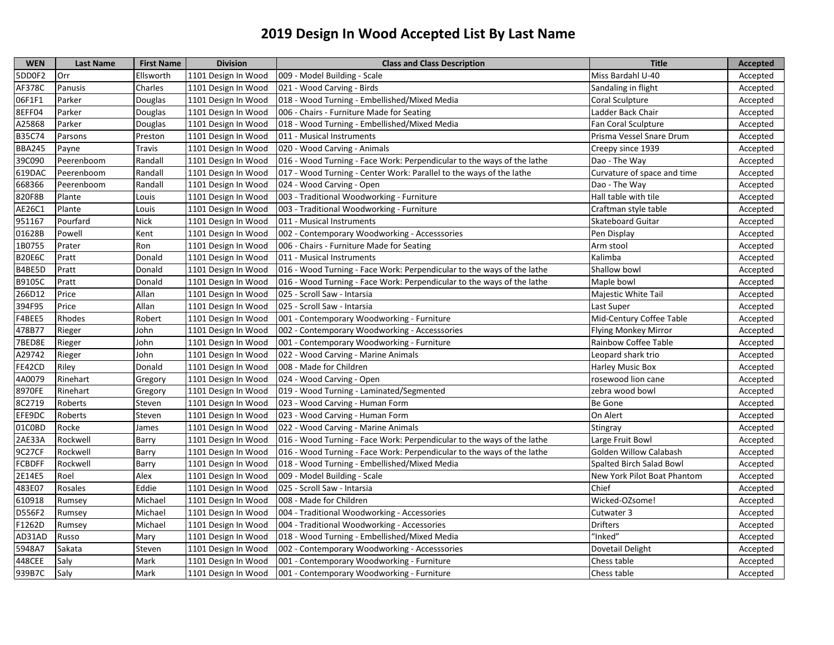| <b>WEN</b>    | <b>Last Name</b> | <b>First Name</b> | <b>Division</b>     | <b>Class and Class Description</b>                                     | <b>Title</b>                  | Accepted |
|---------------|------------------|-------------------|---------------------|------------------------------------------------------------------------|-------------------------------|----------|
| 5DD0F2        | Orr              | Ellsworth         | 1101 Design In Wood | 009 - Model Building - Scale                                           | Miss Bardahl U-40             | Accepted |
| AF378C        | Panusis          | Charles           | 1101 Design In Wood | 021 - Wood Carving - Birds                                             | Sandaling in flight           | Accepted |
| 06F1F1        | Parker           | Douglas           | 1101 Design In Wood | 018 - Wood Turning - Embellished/Mixed Media                           | Coral Sculpture               | Accepted |
| 8EFF04        | Parker           | Douglas           | 1101 Design In Wood | 006 - Chairs - Furniture Made for Seating                              | Ladder Back Chair             | Accepted |
| A25868        | Parker           | Douglas           | 1101 Design In Wood | 018 - Wood Turning - Embellished/Mixed Media                           | <b>Fan Coral Sculpture</b>    | Accepted |
| B35C74        | Parsons          | Preston           | 1101 Design In Wood | 011 - Musical Instruments                                              | Prisma Vessel Snare Drum      | Accepted |
| <b>BBA245</b> | Payne            | Travis            | 1101 Design In Wood | 020 - Wood Carving - Animals                                           | Creepy since 1939             | Accepted |
| 39C090        | Peerenboom       | Randall           | 1101 Design In Wood | 016 - Wood Turning - Face Work: Perpendicular to the ways of the lathe | Dao - The Way                 | Accepted |
| 619DAC        | Peerenboom       | Randall           | 1101 Design In Wood | 017 - Wood Turning - Center Work: Parallel to the ways of the lathe    | Curvature of space and time   | Accepted |
| 668366        | Peerenboom       | Randall           | 1101 Design In Wood | 024 - Wood Carving - Open                                              | Dao - The Way                 | Accepted |
| 820F8B        | Plante           | Louis             | 1101 Design In Wood | 003 - Traditional Woodworking - Furniture                              | Hall table with tile          | Accepted |
| AE26C1        | Plante           | Louis             | 1101 Design In Wood | 003 - Traditional Woodworking - Furniture                              | Craftman style table          | Accepted |
| 951167        | Pourfard         | <b>Nick</b>       | 1101 Design In Wood | 011 - Musical Instruments                                              | <b>Skateboard Guitar</b>      | Accepted |
| 01628B        | Powell           | Kent              | 1101 Design In Wood | 002 - Contemporary Woodworking - Accesssories                          | Pen Display                   | Accepted |
| 1B0755        | Prater           | Ron               | 1101 Design In Wood | 006 - Chairs - Furniture Made for Seating                              | Arm stool                     | Accepted |
| <b>B20E6C</b> | Pratt            | Donald            | 1101 Design In Wood | 011 - Musical Instruments                                              | Kalimba                       | Accepted |
| B4BE5D        | Pratt            | Donald            | 1101 Design In Wood | 016 - Wood Turning - Face Work: Perpendicular to the ways of the lathe | Shallow bowl                  | Accepted |
| B9105C        | Pratt            | Donald            | 1101 Design In Wood | 016 - Wood Turning - Face Work: Perpendicular to the ways of the lathe | Maple bowl                    | Accepted |
| 266D12        | Price            | Allan             | 1101 Design In Wood | 025 - Scroll Saw - Intarsia                                            | Majestic White Tail           | Accepted |
| 394F95        | Price            | Allan             | 1101 Design In Wood | 025 - Scroll Saw - Intarsia                                            | Last Super                    | Accepted |
| F4BEE5        | Rhodes           | Robert            | 1101 Design In Wood | 001 - Contemporary Woodworking - Furniture                             | Mid-Century Coffee Table      | Accepted |
| 478B77        | Rieger           | John              | 1101 Design In Wood | 002 - Contemporary Woodworking - Accesssories                          | <b>Flying Monkey Mirror</b>   | Accepted |
| 7BED8E        | Rieger           | John              | 1101 Design In Wood | 001 - Contemporary Woodworking - Furniture                             | Rainbow Coffee Table          | Accepted |
| A29742        | Rieger           | John              | 1101 Design In Wood | 022 - Wood Carving - Marine Animals                                    | Leopard shark trio            | Accepted |
| FE42CD        | Riley            | Donald            | 1101 Design In Wood | 008 - Made for Children                                                | <b>Harley Music Box</b>       | Accepted |
| 4A0079        | Rinehart         | Gregory           | 1101 Design In Wood | 024 - Wood Carving - Open                                              | rosewood lion cane            | Accepted |
| 8970FE        | Rinehart         | Gregory           | 1101 Design In Wood | 019 - Wood Turning - Laminated/Segmented                               | zebra wood bowl               | Accepted |
| 8C2719        | Roberts          | Steven            | 1101 Design In Wood | 023 - Wood Carving - Human Form                                        | Be Gone                       | Accepted |
| EFE9DC        | Roberts          | Steven            | 1101 Design In Wood | 023 - Wood Carving - Human Form                                        | On Alert                      | Accepted |
| 01C0BD        | Rocke            | James             | 1101 Design In Wood | 022 - Wood Carving - Marine Animals                                    | Stingray                      | Accepted |
| 2AE33A        | Rockwell         | Barry             | 1101 Design In Wood | 016 - Wood Turning - Face Work: Perpendicular to the ways of the lathe | Large Fruit Bowl              | Accepted |
| 9C27CF        | Rockwell         | Barry             | 1101 Design In Wood | 016 - Wood Turning - Face Work: Perpendicular to the ways of the lathe | <b>Golden Willow Calabash</b> | Accepted |
| FCBDFF        | Rockwell         | Barry             | 1101 Design In Wood | 018 - Wood Turning - Embellished/Mixed Media                           | Spalted Birch Salad Bowl      | Accepted |
| 2E14E5        | Roel             | Alex              | 1101 Design In Wood | 009 - Model Building - Scale                                           | New York Pilot Boat Phantom   | Accepted |
| 483E07        | Rosales          | Eddie             | 1101 Design In Wood | 025 - Scroll Saw - Intarsia                                            | Chief                         | Accepted |
| 610918        | Rumsey           | Michael           | 1101 Design In Wood | 008 - Made for Children                                                | Wicked-OZsome!                | Accepted |
| D556F2        | Rumsey           | Michael           | 1101 Design In Wood | 004 - Traditional Woodworking - Accessories                            | Cutwater 3                    | Accepted |
| F1262D        | Rumsey           | Michael           | 1101 Design In Wood | 004 - Traditional Woodworking - Accessories                            | <b>Drifters</b>               | Accepted |
| AD31AD        | Russo            | Mary              | 1101 Design In Wood | 018 - Wood Turning - Embellished/Mixed Media                           | "Inked"                       | Accepted |
| 5948A7        | Sakata           | Steven            | 1101 Design In Wood | 002 - Contemporary Woodworking - Accesssories                          | Dovetail Delight              | Accepted |
| 448CEE        | Saly             | Mark              | 1101 Design In Wood | 001 - Contemporary Woodworking - Furniture                             | Chess table                   | Accepted |
| 939B7C        | Salv             | Mark              | 1101 Design In Wood | 001 - Contemporary Woodworking - Furniture                             | Chess table                   | Accepted |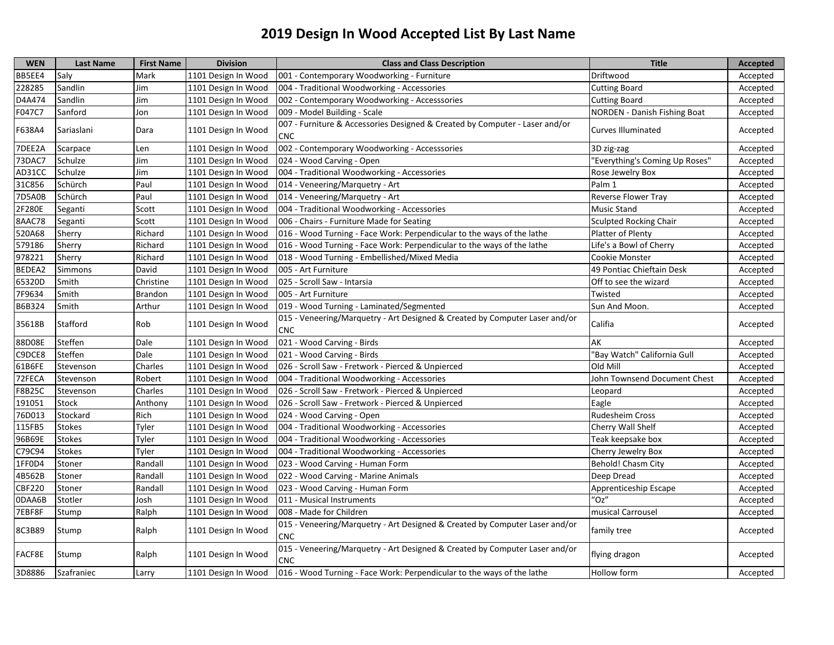| <b>WEN</b>    | <b>Last Name</b> | <b>First Name</b> | <b>Division</b>     | <b>Class and Class Description</b>                                                        | <b>Title</b>                        | <b>Accepted</b> |
|---------------|------------------|-------------------|---------------------|-------------------------------------------------------------------------------------------|-------------------------------------|-----------------|
| BB5EE4        | Saly             | Mark              | 1101 Design In Wood | 001 - Contemporary Woodworking - Furniture                                                | Driftwood                           | Accepted        |
| 228285        | Sandlin          | Jim               | 1101 Design In Wood | 004 - Traditional Woodworking - Accessories                                               | <b>Cutting Board</b>                | Accepted        |
| D4A474        | Sandlin          | Jim               | 1101 Design In Wood | 002 - Contemporary Woodworking - Accesssories                                             | <b>Cutting Board</b>                | Accepted        |
| F047C7        | Sanford          | Jon               | 1101 Design In Wood | 009 - Model Building - Scale                                                              | <b>NORDEN - Danish Fishing Boat</b> | Accepted        |
| F638A4        | Sariaslani       | Dara              | 1101 Design In Wood | 007 - Furniture & Accessories Designed & Created by Computer - Laser and/or<br><b>CNC</b> | <b>Curves Illuminated</b>           | Accepted        |
| 7DEE2A        | Scarpace         | Len               | 1101 Design In Wood | 002 - Contemporary Woodworking - Accesssories                                             | 3D zig-zag                          | Accepted        |
| 73DAC7        | Schulze          | Jim               | 1101 Design In Wood | 024 - Wood Carving - Open                                                                 | 'Everything's Coming Up Roses"      | Accepted        |
| AD31CC        | Schulze          | Jim               | 1101 Design In Wood | 004 - Traditional Woodworking - Accessories                                               | Rose Jewelry Box                    | Accepted        |
| 31C856        | Schürch          | Paul              | 1101 Design In Wood | 014 - Veneering/Marquetry - Art                                                           | Palm 1                              | Accepted        |
| <b>7D5A0B</b> | Schürch          | Paul              | 1101 Design In Wood | 014 - Veneering/Marquetry - Art                                                           | Reverse Flower Tray                 | Accepted        |
| 2F280E        | Seganti          | Scott             | 1101 Design In Wood | 004 - Traditional Woodworking - Accessories                                               | <b>Music Stand</b>                  | Accepted        |
| 8AAC78        | Seganti          | Scott             | 1101 Design In Wood | 006 - Chairs - Furniture Made for Seating                                                 | <b>Sculpted Rocking Chair</b>       | Accepted        |
| 520A68        | Sherry           | Richard           | 1101 Design In Wood | 016 - Wood Turning - Face Work: Perpendicular to the ways of the lathe                    | Platter of Plenty                   | Accepted        |
| 579186        | Sherry           | Richard           | 1101 Design In Wood | 016 - Wood Turning - Face Work: Perpendicular to the ways of the lathe                    | Life's a Bowl of Cherry             | Accepted        |
| 978221        | Sherry           | Richard           | 1101 Design In Wood | 018 - Wood Turning - Embellished/Mixed Media                                              | Cookie Monster                      | Accepted        |
| BEDEA2        | Simmons          | David             | 1101 Design In Wood | 005 - Art Furniture                                                                       | 49 Pontiac Chieftain Desk           | Accepted        |
| 65320D        | Smith            | Christine         | 1101 Design In Wood | 025 - Scroll Saw - Intarsia                                                               | Off to see the wizard               | Accepted        |
| 7F9634        | Smith            | <b>Brandon</b>    | 1101 Design In Wood | 005 - Art Furniture                                                                       | Twisted                             | Accepted        |
| B6B324        | Smith            | Arthur            | 1101 Design In Wood | 019 - Wood Turning - Laminated/Segmented                                                  | Sun And Moon.                       | Accepted        |
| 35618B        | Stafford         | Rob               | 1101 Design In Wood | 015 - Veneering/Marquetry - Art Designed & Created by Computer Laser and/or<br><b>CNC</b> | Califia                             | Accepted        |
| 88D08E        | Steffen          | Dale              | 1101 Design In Wood | 021 - Wood Carving - Birds                                                                | AK                                  | Accepted        |
| C9DCE8        | Steffen          | Dale              | 1101 Design In Wood | 021 - Wood Carving - Birds                                                                | "Bay Watch" California Gull         | Accepted        |
| 61B6FE        | Stevenson        | Charles           | 1101 Design In Wood | 026 - Scroll Saw - Fretwork - Pierced & Unpierced                                         | Old Mill                            | Accepted        |
| 72FECA        | Stevenson        | Robert            | 1101 Design In Wood | 004 - Traditional Woodworking - Accessories                                               | John Townsend Document Chest        | Accepted        |
| F8B25C        | Stevenson        | Charles           | 1101 Design In Wood | 026 - Scroll Saw - Fretwork - Pierced & Unpierced                                         | Leopard                             | Accepted        |
| 191051        | Stock            | Anthony           | 1101 Design In Wood | 026 - Scroll Saw - Fretwork - Pierced & Unpierced                                         | Eagle                               | Accepted        |
| 76D013        | Stockard         | Rich              | 1101 Design In Wood | 024 - Wood Carving - Open                                                                 | <b>Rudesheim Cross</b>              | Accepted        |
| 115FB5        | Stokes           | Tyler             | 1101 Design In Wood | 004 - Traditional Woodworking - Accessories                                               | Cherry Wall Shelf                   | Accepted        |
| 96B69E        | <b>Stokes</b>    | Tyler             | 1101 Design In Wood | 004 - Traditional Woodworking - Accessories                                               | Teak keepsake box                   | Accepted        |
| C79C94        | <b>Stokes</b>    | Tyler             | 1101 Design In Wood | 004 - Traditional Woodworking - Accessories                                               | Cherry Jewelry Box                  | Accepted        |
| 1FF0D4        | Stoner           | Randall           | 1101 Design In Wood | 023 - Wood Carving - Human Form                                                           | Behold! Chasm City                  | Accepted        |
| 4B562B        | Stoner           | Randall           | 1101 Design In Wood | 022 - Wood Carving - Marine Animals                                                       | Deep Dread                          | Accepted        |
| <b>CBF220</b> | Stoner           | Randall           | 1101 Design In Wood | 023 - Wood Carving - Human Form                                                           | Apprenticeship Escape               | Accepted        |
| 0DAA6B        | Stotler          | Josh              | 1101 Design In Wood | 011 - Musical Instruments                                                                 | 'Oz''                               | Accepted        |
| 7EBF8F        | Stump            | Ralph             | 1101 Design In Wood | 1008 - Made for Children                                                                  | musical Carrousel                   | Accepted        |
| 8C3B89        | Stump            | Ralph             | 1101 Design In Wood | 015 - Veneering/Marquetry - Art Designed & Created by Computer Laser and/or<br><b>CNC</b> | family tree                         | Accepted        |
| FACF8E        | Stump            | Ralph             | 1101 Design In Wood | 015 - Veneering/Marquetry - Art Designed & Created by Computer Laser and/or<br><b>CNC</b> | flying dragon                       | Accepted        |
| 3D8886        | Szafraniec       | Larry             | 1101 Design In Wood | 016 - Wood Turning - Face Work: Perpendicular to the ways of the lathe                    | Hollow form                         | Accepted        |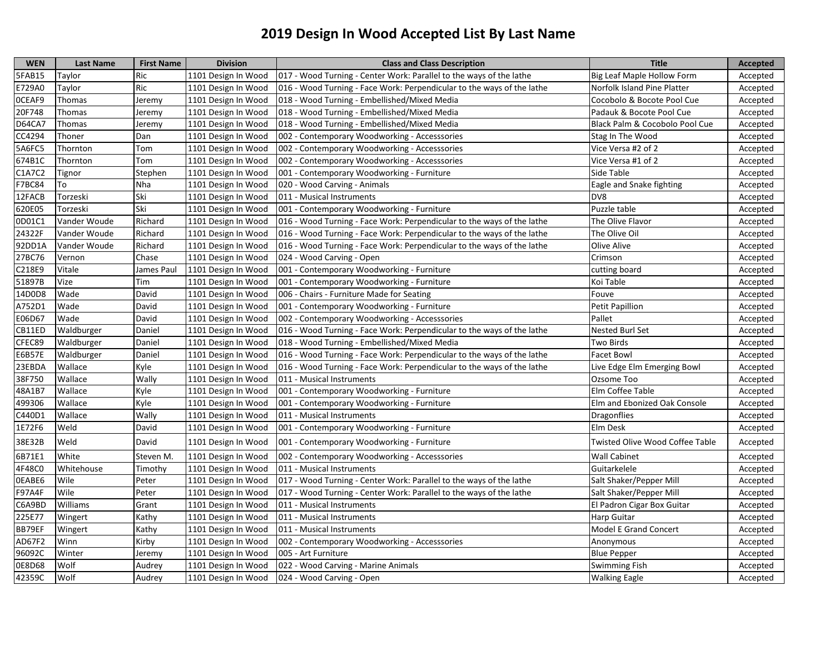| <b>WEN</b>    | <b>Last Name</b> | <b>First Name</b> | <b>Division</b>     | <b>Class and Class Description</b>                                     | <b>Title</b>                           | <b>Accepted</b> |
|---------------|------------------|-------------------|---------------------|------------------------------------------------------------------------|----------------------------------------|-----------------|
| 5FAB15        | Taylor           | Ric               | 1101 Design In Wood | 017 - Wood Turning - Center Work: Parallel to the ways of the lathe    | Big Leaf Maple Hollow Form             | Accepted        |
| E729A0        | Taylor           | Ric               | 1101 Design In Wood | 016 - Wood Turning - Face Work: Perpendicular to the ways of the lathe | Norfolk Island Pine Platter            | Accepted        |
| OCEAF9        | Thomas           | Jeremy            | 1101 Design In Wood | 018 - Wood Turning - Embellished/Mixed Media                           | Cocobolo & Bocote Pool Cue             | Accepted        |
| 20F748        | Thomas           | Jeremy            | 1101 Design In Wood | 018 - Wood Turning - Embellished/Mixed Media                           | Padauk & Bocote Pool Cue               | Accepted        |
| <b>D64CA7</b> | Thomas           | Jeremy            | 1101 Design In Wood | 018 - Wood Turning - Embellished/Mixed Media                           | Black Palm & Cocobolo Pool Cue         | Accepted        |
| CC4294        | Thoner           | Dan               | 1101 Design In Wood | 002 - Contemporary Woodworking - Accesssories                          | Stag In The Wood                       | Accepted        |
| 5A6FC5        | Thornton         | Tom               | 1101 Design In Wood | 002 - Contemporary Woodworking - Accesssories                          | Vice Versa #2 of 2                     | Accepted        |
| 674B1C        | Thornton         | Tom               | 1101 Design In Wood | 002 - Contemporary Woodworking - Accesssories                          | Vice Versa #1 of 2                     | Accepted        |
| C1A7C2        | Tignor           | Stephen           | 1101 Design In Wood | 001 - Contemporary Woodworking - Furniture                             | Side Table                             | Accepted        |
| F7BC84        | To               | Nha               | 1101 Design In Wood | 020 - Wood Carving - Animals                                           | Eagle and Snake fighting               | Accepted        |
| 12FACB        | Torzeski         | Ski               | 1101 Design In Wood | 011 - Musical Instruments                                              | DV8                                    | Accepted        |
| 620E05        | Torzeski         | Ski               | 1101 Design In Wood | 001 - Contemporary Woodworking - Furniture                             | Puzzle table                           | Accepted        |
| 0D01C1        | Vander Woude     | Richard           | 1101 Design In Wood | 016 - Wood Turning - Face Work: Perpendicular to the ways of the lathe | The Olive Flavor                       | Accepted        |
| 24322F        | Vander Woude     | Richard           | 1101 Design In Wood | 016 - Wood Turning - Face Work: Perpendicular to the ways of the lathe | The Olive Oil                          | Accepted        |
| 92DD1A        | Vander Woude     | Richard           | 1101 Design In Wood | 016 - Wood Turning - Face Work: Perpendicular to the ways of the lathe | Olive Alive                            | Accepted        |
| 27BC76        | Vernon           | Chase             | 1101 Design In Wood | 024 - Wood Carving - Open                                              | Crimson                                | Accepted        |
| C218E9        | Vitale           | James Paul        | 1101 Design In Wood | 001 - Contemporary Woodworking - Furniture                             | cutting board                          | Accepted        |
| 51897B        | Vize             | Tim               | 1101 Design In Wood | 001 - Contemporary Woodworking - Furniture                             | Koi Table                              | Accepted        |
| 14D0D8        | Wade             | David             | 1101 Design In Wood | 006 - Chairs - Furniture Made for Seating                              | Fouve                                  | Accepted        |
| A752D1        | Wade             | David             | 1101 Design In Wood | 001 - Contemporary Woodworking - Furniture                             | Petit Papillion                        | Accepted        |
| E06D67        | Wade             | David             | 1101 Design In Wood | 002 - Contemporary Woodworking - Accesssories                          | Pallet                                 | Accepted        |
| CB11ED        | Waldburger       | Daniel            | 1101 Design In Wood | 016 - Wood Turning - Face Work: Perpendicular to the ways of the lathe | Nested Burl Set                        | Accepted        |
| CFEC89        | Waldburger       | Daniel            | 1101 Design In Wood | 018 - Wood Turning - Embellished/Mixed Media                           | Two Birds                              | Accepted        |
| E6B57E        | Waldburger       | Daniel            | 1101 Design In Wood | 016 - Wood Turning - Face Work: Perpendicular to the ways of the lathe | <b>Facet Bowl</b>                      | Accepted        |
| 23EBDA        | Wallace          | Kyle              | 1101 Design In Wood | 016 - Wood Turning - Face Work: Perpendicular to the ways of the lathe | Live Edge Elm Emerging Bowl            | Accepted        |
| 38F750        | Wallace          | Wally             | 1101 Design In Wood | 011 - Musical Instruments                                              | Ozsome Too                             | Accepted        |
| 48A1B7        | Wallace          | Kyle              | 1101 Design In Wood | 001 - Contemporary Woodworking - Furniture                             | Elm Coffee Table                       | Accepted        |
| 499306        | Wallace          | Kyle              | 1101 Design In Wood | 001 - Contemporary Woodworking - Furniture                             | Elm and Ebonized Oak Console           | Accepted        |
| C440D1        | Wallace          | Wally             | 1101 Design In Wood | 011 - Musical Instruments                                              | <b>Dragonflies</b>                     | Accepted        |
| 1E72F6        | Weld             | David             | 1101 Design In Wood | 001 - Contemporary Woodworking - Furniture                             | Elm Desk                               | Accepted        |
| 38E32B        | Weld             | David             | 1101 Design In Wood | 001 - Contemporary Woodworking - Furniture                             | <b>Twisted Olive Wood Coffee Table</b> | Accepted        |
| 6B71E1        | White            | Steven M.         | 1101 Design In Wood | 002 - Contemporary Woodworking - Accesssories                          | <b>Wall Cabinet</b>                    | Accepted        |
| 4F48C0        | Whitehouse       | Timothy           | 1101 Design In Wood | 011 - Musical Instruments                                              | Guitarkelele                           | Accepted        |
| OEABE6        | Wile             | Peter             | 1101 Design In Wood | 017 - Wood Turning - Center Work: Parallel to the ways of the lathe    | Salt Shaker/Pepper Mill                | Accepted        |
| F97A4F        | Wile             | Peter             | 1101 Design In Wood | 017 - Wood Turning - Center Work: Parallel to the ways of the lathe    | Salt Shaker/Pepper Mill                | Accepted        |
| C6A9BD        | Williams         | Grant             | 1101 Design In Wood | 011 - Musical Instruments                                              | El Padron Cigar Box Guitar             | Accepted        |
| 225E77        | Wingert          | Kathy             | 1101 Design In Wood | 011 - Musical Instruments                                              | Harp Guitar                            | Accepted        |
| BB79EF        | Wingert          | Kathy             | 1101 Design In Wood | 011 - Musical Instruments                                              | Model E Grand Concert                  | Accepted        |
| AD67F2        | Winn             | Kirby             | 1101 Design In Wood | 002 - Contemporary Woodworking - Accesssories                          | Anonymous                              | Accepted        |
| 96092C        | Winter           | Jeremy            | 1101 Design In Wood | 005 - Art Furniture                                                    | <b>Blue Pepper</b>                     | Accepted        |
| 0E8D68        | Wolf             | Audrey            | 1101 Design In Wood | 022 - Wood Carving - Marine Animals                                    | Swimming Fish                          | Accepted        |
| 42359C        | Wolf             | Audrey            | 1101 Design In Wood | 024 - Wood Carving - Open                                              | <b>Walking Eagle</b>                   | Accepted        |